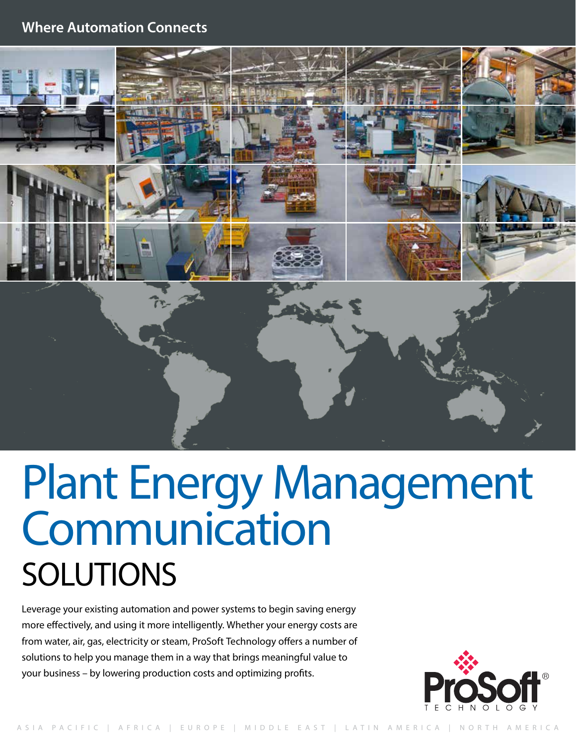# **Where Automation Connects**



# Plant Energy Management **Communication** SOLUTIONS

Leverage your existing automation and power systems to begin saving energy more effectively, and using it more intelligently. Whether your energy costs are from water, air, gas, electricity or steam, ProSoft Technology offers a number of solutions to help you manage them in a way that brings meaningful value to your business – by lowering production costs and optimizing profits.